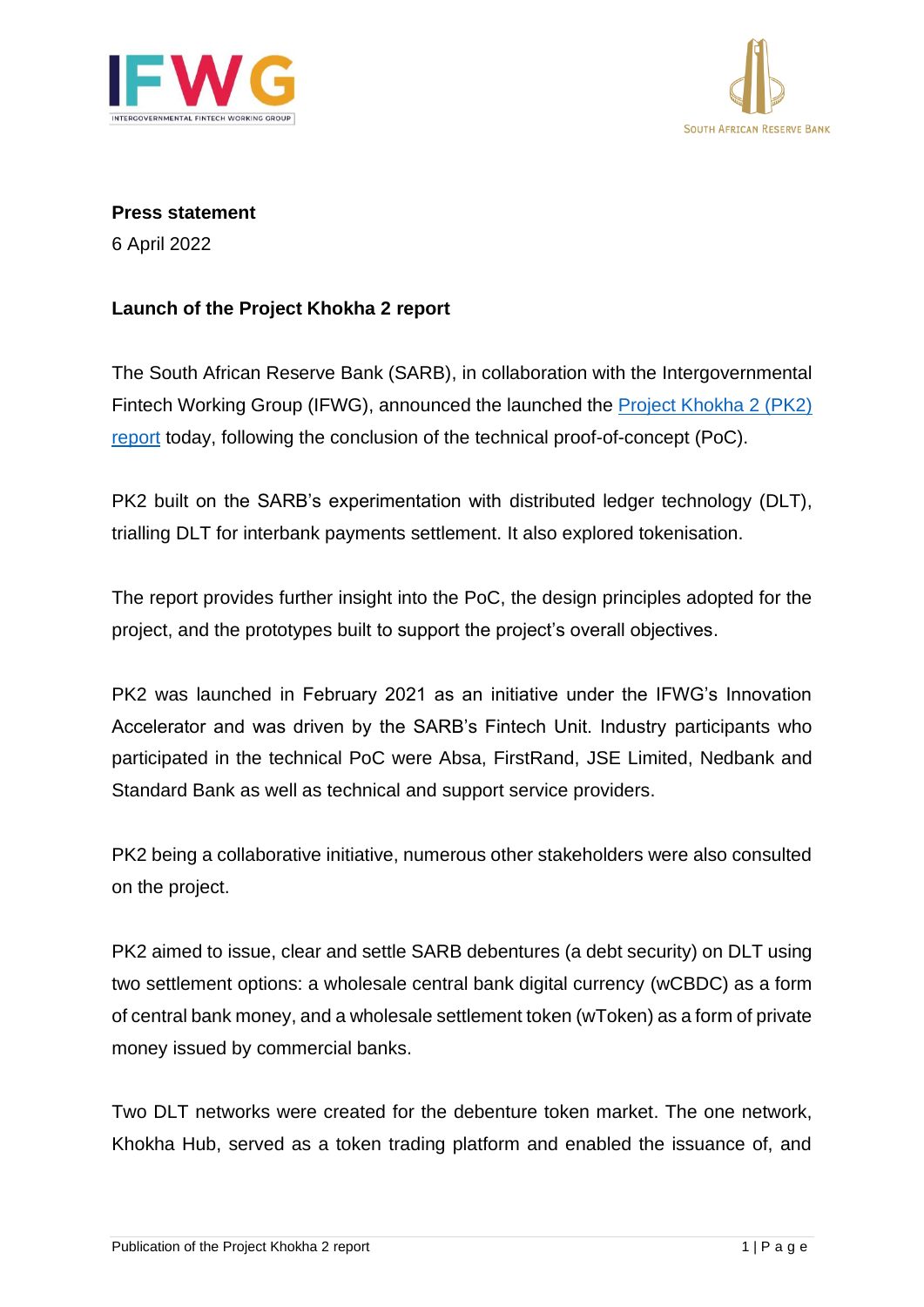



**Press statement**

6 April 2022

## **Launch of the Project Khokha 2 report**

The South African Reserve Bank (SARB), in collaboration with the Intergovernmental Fintech Working Group (IFWG), announced the launched the [Project Khokha](https://www.resbank.co.za/en/home/publications/publication-detail-pages/media-releases/2022/Project-Khokha-2-Report-Release) 2 (PK2) [report](https://www.resbank.co.za/en/home/publications/publication-detail-pages/media-releases/2022/Project-Khokha-2-Report-Release) today, following the conclusion of the technical proof-of-concept (PoC).

PK2 built on the SARB's experimentation with distributed ledger technology (DLT), trialling DLT for interbank payments settlement. It also explored tokenisation.

The report provides further insight into the PoC, the design principles adopted for the project, and the prototypes built to support the project's overall objectives.

PK2 was launched in February 2021 as an initiative under the IFWG's Innovation Accelerator and was driven by the SARB's Fintech Unit. Industry participants who participated in the technical PoC were Absa, FirstRand, JSE Limited, Nedbank and Standard Bank as well as technical and support service providers.

PK2 being a collaborative initiative, numerous other stakeholders were also consulted on the project.

PK2 aimed to issue, clear and settle SARB debentures (a debt security) on DLT using two settlement options: a wholesale central bank digital currency (wCBDC) as a form of central bank money, and a wholesale settlement token (wToken) as a form of private money issued by commercial banks.

Two DLT networks were created for the debenture token market. The one network, Khokha Hub, served as a token trading platform and enabled the issuance of, and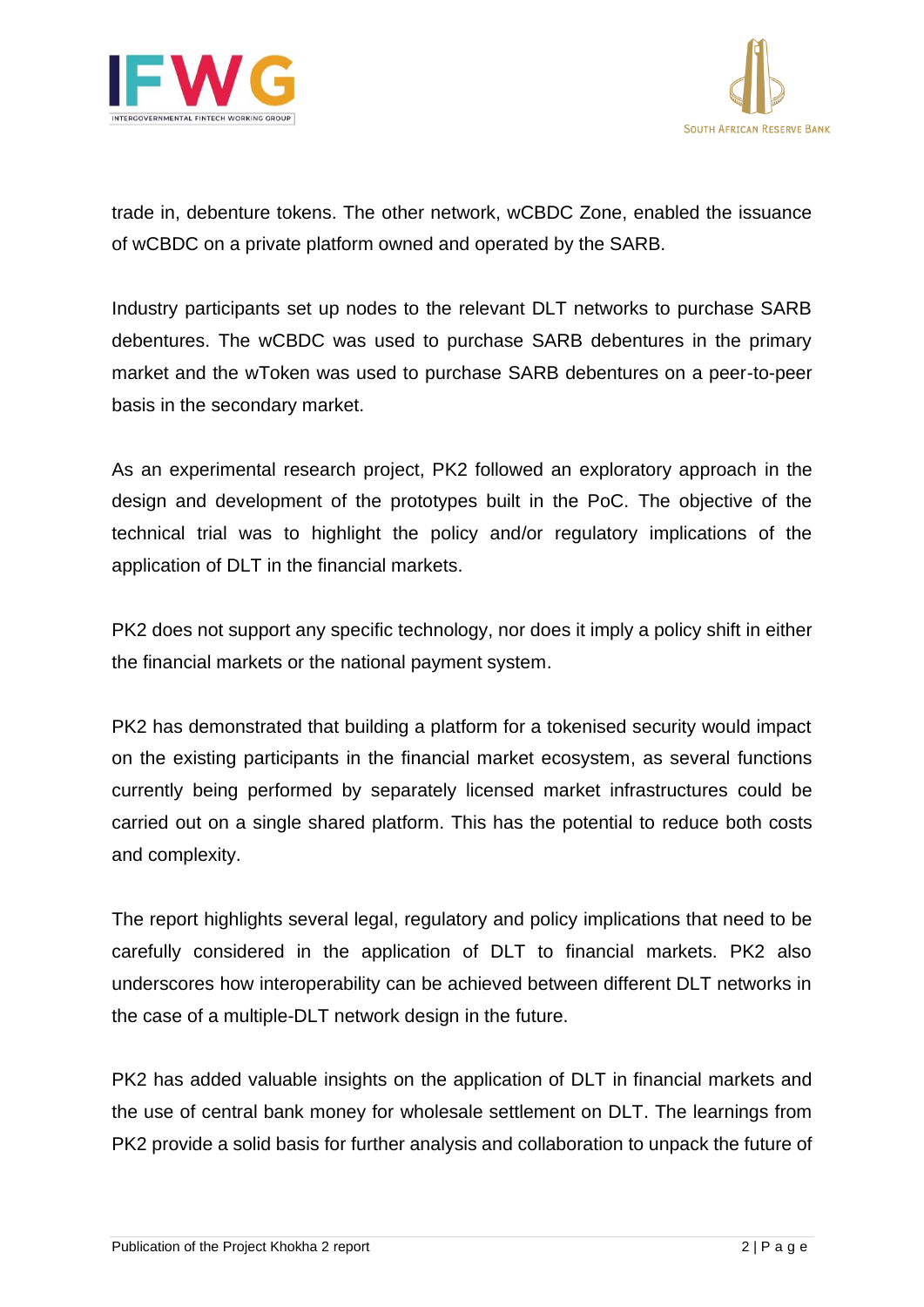



trade in, debenture tokens. The other network, wCBDC Zone, enabled the issuance of wCBDC on a private platform owned and operated by the SARB.

Industry participants set up nodes to the relevant DLT networks to purchase SARB debentures. The wCBDC was used to purchase SARB debentures in the primary market and the wToken was used to purchase SARB debentures on a peer-to-peer basis in the secondary market.

As an experimental research project, PK2 followed an exploratory approach in the design and development of the prototypes built in the PoC. The objective of the technical trial was to highlight the policy and/or regulatory implications of the application of DLT in the financial markets.

PK2 does not support any specific technology, nor does it imply a policy shift in either the financial markets or the national payment system.

PK2 has demonstrated that building a platform for a tokenised security would impact on the existing participants in the financial market ecosystem, as several functions currently being performed by separately licensed market infrastructures could be carried out on a single shared platform. This has the potential to reduce both costs and complexity.

The report highlights several legal, regulatory and policy implications that need to be carefully considered in the application of DLT to financial markets. PK2 also underscores how interoperability can be achieved between different DLT networks in the case of a multiple-DLT network design in the future.

PK2 has added valuable insights on the application of DLT in financial markets and the use of central bank money for wholesale settlement on DLT. The learnings from PK2 provide a solid basis for further analysis and collaboration to unpack the future of